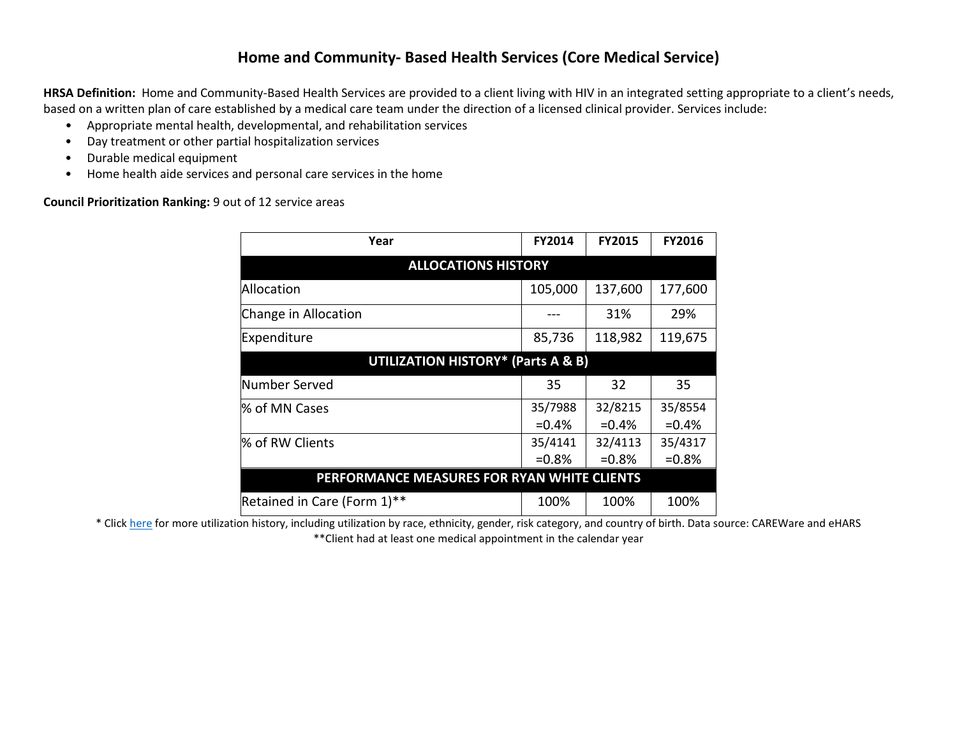## **Home and Community- Based Health Services (Core Medical Service)**

**HRSA Definition:** Home and Community-Based Health Services are provided to a client living with HIV in an integrated setting appropriate to a client's needs, based on a written plan of care established by a medical care team under the direction of a licensed clinical provider. Services include:

- Appropriate mental health, developmental, and rehabilitation services
- Day treatment or other partial hospitalization services
- Durable medical equipment
- Home health aide services and personal care services in the home

**Council Prioritization Ranking:** 9 out of 12 service areas

| Year                                          | <b>FY2014</b> | <b>FY2015</b> | FY2016  |  |  |  |  |  |  |  |  |
|-----------------------------------------------|---------------|---------------|---------|--|--|--|--|--|--|--|--|
| <b>ALLOCATIONS HISTORY</b>                    |               |               |         |  |  |  |  |  |  |  |  |
| Allocation                                    | 105,000       | 137,600       | 177,600 |  |  |  |  |  |  |  |  |
| Change in Allocation                          |               | 31%           | 29%     |  |  |  |  |  |  |  |  |
| Expenditure                                   | 85,736        | 118,982       | 119,675 |  |  |  |  |  |  |  |  |
| <b>UTILIZATION HISTORY* (Parts A &amp; B)</b> |               |               |         |  |  |  |  |  |  |  |  |
| Number Served                                 | 35            | 32            | 35      |  |  |  |  |  |  |  |  |
| % of MN Cases                                 | 35/7988       | 32/8215       | 35/8554 |  |  |  |  |  |  |  |  |
|                                               | $=0.4\%$      | $=0.4%$       | $=0.4%$ |  |  |  |  |  |  |  |  |
| % of RW Clients                               | 35/4141       | 32/4113       | 35/4317 |  |  |  |  |  |  |  |  |
|                                               | $=0.8%$       | $=0.8%$       | $=0.8%$ |  |  |  |  |  |  |  |  |
| PERFORMANCE MEASURES FOR RYAN WHITE CLIENTS   |               |               |         |  |  |  |  |  |  |  |  |
| Retained in Care (Form 1)**                   | 100%          | 100%          | 100%    |  |  |  |  |  |  |  |  |

\* Clic[k here](http://www.mnhivcouncil.org/uploads/3/4/7/5/34759483/core_medical_services_sars.pdf) for more utilization history, including utilization by race, ethnicity, gender, risk category, and country of birth. Data source: CAREWare and eHARS \*\*Client had at least one medical appointment in the calendar year